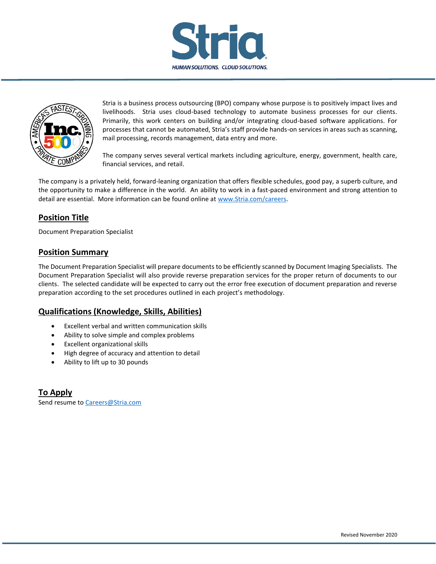



Stria is a business process outsourcing (BPO) company whose purpose is to positively impact lives and livelihoods. Stria uses cloud-based technology to automate business processes for our clients. Primarily, this work centers on building and/or integrating cloud-based software applications. For processes that cannot be automated, Stria's staff provide hands-on services in areas such as scanning, mail processing, records management, data entry and more.

The company serves several vertical markets including agriculture, energy, government, health care, financial services, and retail.

The company is a privately held, forward-leaning organization that offers flexible schedules, good pay, a superb culture, and the opportunity to make a difference in the world. An ability to work in a fast-paced environment and strong attention to detail are essential. More information can be found online at [www.Stria.com/careers.](http://www.stria.com/careers)

## **Position Title**

Document Preparation Specialist

## **Position Summary**

The Document Preparation Specialist will prepare documents to be efficiently scanned by Document Imaging Specialists. The Document Preparation Specialist will also provide reverse preparation services for the proper return of documents to our clients. The selected candidate will be expected to carry out the error free execution of document preparation and reverse preparation according to the set procedures outlined in each project's methodology. .

### **Qualifications (Knowledge, Skills, Abilities)**

- Excellent verbal and written communication skills
- Ability to solve simple and complex problems
- Excellent organizational skills
- High degree of accuracy and attention to detail
- Ability to lift up to 30 pounds

**To Apply** Send resume to [Careers@Stria.com](mailto:Careers@Stria.com)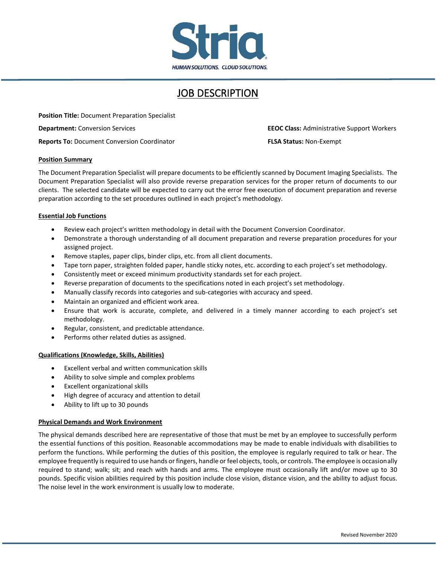

# JOB DESCRIPTION

**Position Title:** Document Preparation Specialist

**Reports To:** Document Conversion Coordinator **FLSA Status:** Non-Exempt

**Department:** Conversion Services **EEOC Class: Administrative Support Workers** 

#### **Position Summary**

The Document Preparation Specialist will prepare documents to be efficiently scanned by Document Imaging Specialists. The Document Preparation Specialist will also provide reverse preparation services for the proper return of documents to our clients. The selected candidate will be expected to carry out the error free execution of document preparation and reverse preparation according to the set procedures outlined in each project's methodology.

#### **Essential Job Functions**

- Review each project's written methodology in detail with the Document Conversion Coordinator.
- Demonstrate a thorough understanding of all document preparation and reverse preparation procedures for your assigned project.
- Remove staples, paper clips, binder clips, etc. from all client documents.
- Tape torn paper, straighten folded paper, handle sticky notes, etc. according to each project's set methodology.
- Consistently meet or exceed minimum productivity standards set for each project.
- Reverse preparation of documents to the specifications noted in each project's set methodology.
- Manually classify records into categories and sub-categories with accuracy and speed.
- Maintain an organized and efficient work area.
- Ensure that work is accurate, complete, and delivered in a timely manner according to each project's set methodology.
- Regular, consistent, and predictable attendance.
- Performs other related duties as assigned.

#### **Qualifications (Knowledge, Skills, Abilities)**

- Excellent verbal and written communication skills
- Ability to solve simple and complex problems
- Excellent organizational skills
- High degree of accuracy and attention to detail
- Ability to lift up to 30 pounds

#### **Physical Demands and Work Environment**

The physical demands described here are representative of those that must be met by an employee to successfully perform the essential functions of this position. Reasonable accommodations may be made to enable individuals with disabilities to perform the functions. While performing the duties of this position, the employee is regularly required to talk or hear. The employee frequently is required to use hands or fingers, handle or feel objects, tools, or controls. The employee is occasionally required to stand; walk; sit; and reach with hands and arms. The employee must occasionally lift and/or move up to 30 pounds. Specific vision abilities required by this position include close vision, distance vision, and the ability to adjust focus. The noise level in the work environment is usually low to moderate.